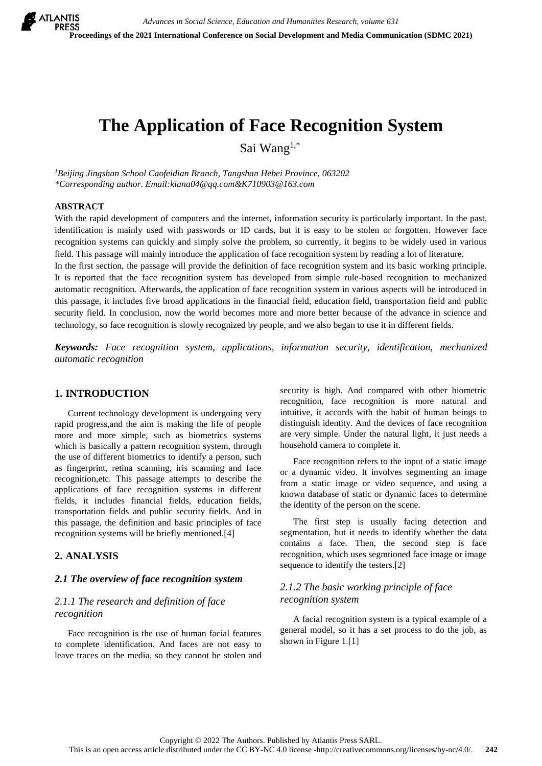# **The Application of Face Recognition System**

Sai Wang1,\*

*<sup>1</sup>Beijing Jingshan School Caofeidian Branch, Tangshan Hebei Province, 063202 \*Corresponding author. Email:kiana04@qq.com&K710903@163.com*

#### **ABSTRACT**

With the rapid development of computers and the internet, information security is particularly important. In the past, identification is mainly used with passwords or ID cards, but it is easy to be stolen or forgotten. However face recognition systems can quickly and simply solve the problem, so currently, it begins to be widely used in various field. This passage will mainly introduce the application of face recognition system by reading a lot of literature.

In the first section, the passage will provide the definition of face recognition system and its basic working principle. It is reported that the face recognition system has developed from simple rule-based recognition to mechanized automatic recognition. Afterwards, the application of face recognition system in various aspects will be introduced in this passage, it includes five broad applications in the financial field, education field, transportation field and public security field. In conclusion, now the world becomes more and more better because of the advance in science and technology, so face recognition is slowly recognized by people, and we also began to use it in different fields.

*Keywords: Face recognition system, applications, information security, identification, mechanized automatic recognition*

# **1. INTRODUCTION**

Current technology development is undergoing very rapid progress,and the aim is making the life of people more and more simple, such as biometrics systems which is basically a pattern recognition system, through the use of different biometrics to identify a person, such as fingerprint, retina scanning, iris scanning and face recognition,etc. This passage attempts to describe the applications of face recognition systems in different fields, it includes financial fields, education fields, transportation fields and public security fields. And in this passage, the definition and basic principles of face recognition systems will be briefly mentioned.[4]

## **2. ANALYSIS**

## *2.1 The overview of face recognition system*

# *2.1.1 The research and definition of face recognition*

Face recognition is the use of human facial features to complete identification. And faces are not easy to leave traces on the media, so they cannot be stolen and security is high. And compared with other biometric recognition, face recognition is more natural and intuitive, it accords with the habit of human beings to distinguish identity. And the devices of face recognition are very simple. Under the natural light, it just needs a household camera to complete it.

Face recognition refers to the input of a static image or a dynamic video. It involves segmenting an image from a static image or video sequence, and using a known database of static or dynamic faces to determine the identity of the person on the scene.

The first step is usually facing detection and segmentation, but it needs to identify whether the data contains a face. Then, the second step is face recognition, which uses segmtioned face image or image sequence to identify the testers.[2]

## *2.1.2 The basic working principle of face recognition system*

A facial recognition system is a typical example of a general model, so it has a set process to do the job, as shown in Figure 1.[1]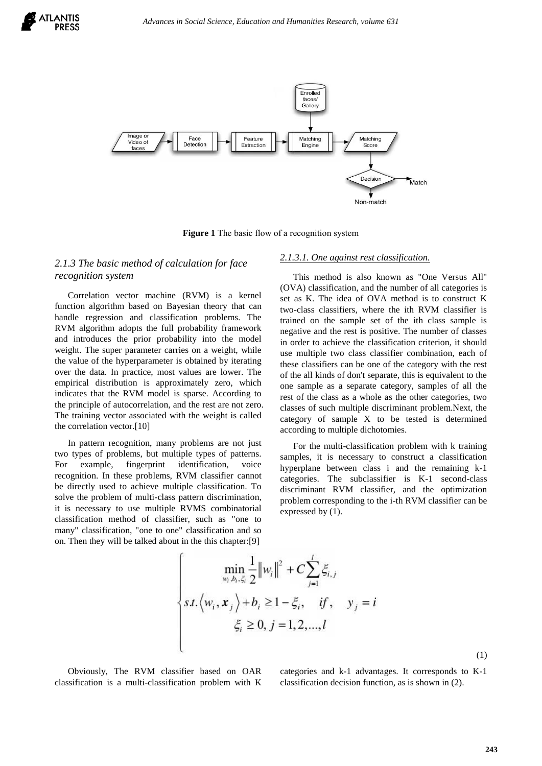



**Figure 1** The basic flow of a recognition system

# *2.1.3 The basic method of calculation for face recognition system*

Correlation vector machine (RVM) is a kernel function algorithm based on Bayesian theory that can handle regression and classification problems. The RVM algorithm adopts the full probability framework and introduces the prior probability into the model weight. The super parameter carries on a weight, while the value of the hyperparameter is obtained by iterating over the data. In practice, most values are lower. The empirical distribution is approximately zero, which indicates that the RVM model is sparse. According to the principle of autocorrelation, and the rest are not zero. The training vector associated with the weight is called the correlation vector.[10]

In pattern recognition, many problems are not just two types of problems, but multiple types of patterns. For example, fingerprint identification, voice recognition. In these problems, RVM classifier cannot be directly used to achieve multiple classification. To solve the problem of multi-class pattern discrimination, it is necessary to use multiple RVMS combinatorial classification method of classifier, such as "one to many" classification, "one to one" classification and so on. Then they will be talked about in the this chapter:[9]

#### *2.1.3.1. One against rest classification.*

This method is also known as "One Versus All" (OVA) classification, and the number of all categories is set as K. The idea of OVA method is to construct K two-class classifiers, where the ith RVM classifier is trained on the sample set of the ith class sample is negative and the rest is positive. The number of classes in order to achieve the classification criterion, it should use multiple two class classifier combination, each of these classifiers can be one of the category with the rest of the all kinds of don't separate, this is equivalent to the one sample as a separate category, samples of all the rest of the class as a whole as the other categories, two classes of such multiple discriminant problem.Next, the category of sample X to be tested is determined according to multiple dichotomies.

For the multi-classification problem with k training samples, it is necessary to construct a classification hyperplane between class i and the remaining k-1 categories. The subclassifier is K-1 second-class discriminant RVM classifier, and the optimization problem corresponding to the i-th RVM classifier can be expressed by (1).

$$
\begin{cases}\n\min_{w_i, b_i, \xi_i} \frac{1}{2} ||w_i||^2 + C \sum_{j=1}^l \xi_{i,j} \\
st. \langle w_i, x_j \rangle + b_i \ge 1 - \xi_i, & \text{if}, \quad y_j = i \\
\xi_i \ge 0, j = 1, 2, \dots, l\n\end{cases}
$$

Obviously, The RVM classifier based on OAR classification is a multi-classification problem with K categories and k-1 advantages. It corresponds to K-1 classification decision function, as is shown in (2).

(1)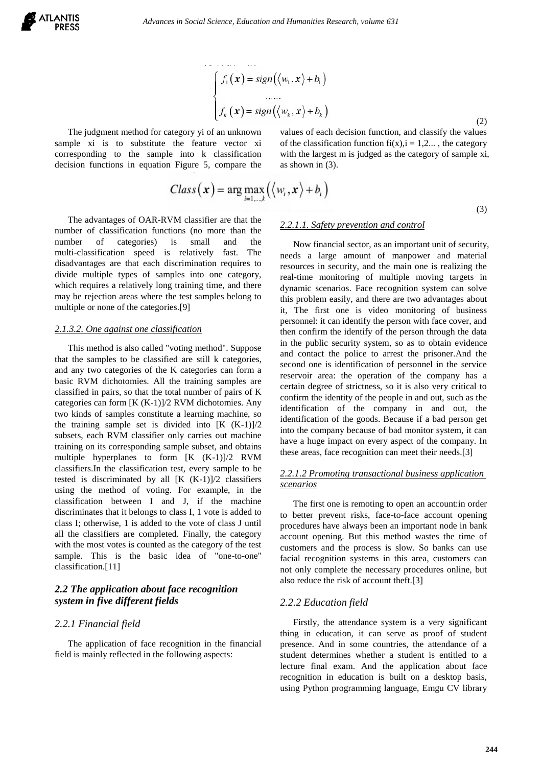لمتعارض المنتفرة ويتساعده

$$
\begin{cases}\nf_1(\mathbf{x}) = sign(\langle w_1, \mathbf{x} \rangle + b_1) \\
\vdots \\
f_k(\mathbf{x}) = sign(\langle w_k, \mathbf{x} \rangle + b_k)\n\end{cases}
$$
\n(2)

The judgment method for category yi of an unknown sample xi is to substitute the feature vector xi corresponding to the sample into k classification decision functions in equation Figure 5, compare the values of each decision function, and classify the values of the classification function fi(x),  $i = 1, 2...$ , the category with the largest m is judged as the category of sample xi, as shown in (3).

$$
Class(\mathbf{x}) = \arg \max_{i=1,\dots,k} \left( \left\langle w_i, \mathbf{x} \right\rangle + b_i \right) \tag{3}
$$

The advantages of OAR-RVM classifier are that the number of classification functions (no more than the number of categories) is small and the multi-classification speed is relatively fast. The disadvantages are that each discrimination requires to divide multiple types of samples into one category, which requires a relatively long training time, and there may be rejection areas where the test samples belong to multiple or none of the categories.[9]

#### *2.1.3.2. One against one classification*

This method is also called "voting method". Suppose that the samples to be classified are still k categories, and any two categories of the K categories can form a basic RVM dichotomies. All the training samples are classified in pairs, so that the total number of pairs of K categories can form [K (K-1)]/2 RVM dichotomies. Any two kinds of samples constitute a learning machine, so the training sample set is divided into  $[K (K-1)]/2$ subsets, each RVM classifier only carries out machine training on its corresponding sample subset, and obtains multiple hyperplanes to form [K (K-1)]/2 RVM classifiers.In the classification test, every sample to be tested is discriminated by all  $[K (K-1)]/2$  classifiers using the method of voting. For example, in the classification between I and J, if the machine discriminates that it belongs to class I, 1 vote is added to class I; otherwise, 1 is added to the vote of class J until all the classifiers are completed. Finally, the category with the most votes is counted as the category of the test sample. This is the basic idea of "one-to-one" classification.[11]

## *2.2 The application about face recognition system in five different fields*

## *2.2.1 Financial field*

The application of face recognition in the financial field is mainly reflected in the following aspects:

#### *2.2.1.1. Safety prevention and control*

Now financial sector, as an important unit of security, needs a large amount of manpower and material resources in security, and the main one is realizing the real-time monitoring of multiple moving targets in dynamic scenarios. Face recognition system can solve this problem easily, and there are two advantages about it, The first one is video monitoring of business personnel: it can identify the person with face cover, and then confirm the identify of the person through the data in the public security system, so as to obtain evidence and contact the police to arrest the prisoner.And the second one is identification of personnel in the service reservoir area: the operation of the company has a certain degree of strictness, so it is also very critical to confirm the identity of the people in and out, such as the identification of the company in and out, the identification of the goods. Because if a bad person get into the company because of bad monitor system, it can have a huge impact on every aspect of the company. In these areas, face recognition can meet their needs.[3]

#### *2.2.1.2 Promoting transactional business application scenarios*

The first one is remoting to open an account:in order to better prevent risks, face-to-face account opening procedures have always been an important node in bank account opening. But this method wastes the time of customers and the process is slow. So banks can use facial recognition systems in this area, customers can not only complete the necessary procedures online, but also reduce the risk of account theft.[3]

#### *2.2.2 Education field*

Firstly, the attendance system is a very significant thing in education, it can serve as proof of student presence. And in some countries, the attendance of a student determines whether a student is entitled to a lecture final exam. And the application about face recognition in education is built on a desktop basis, using Python programming language, Emgu CV library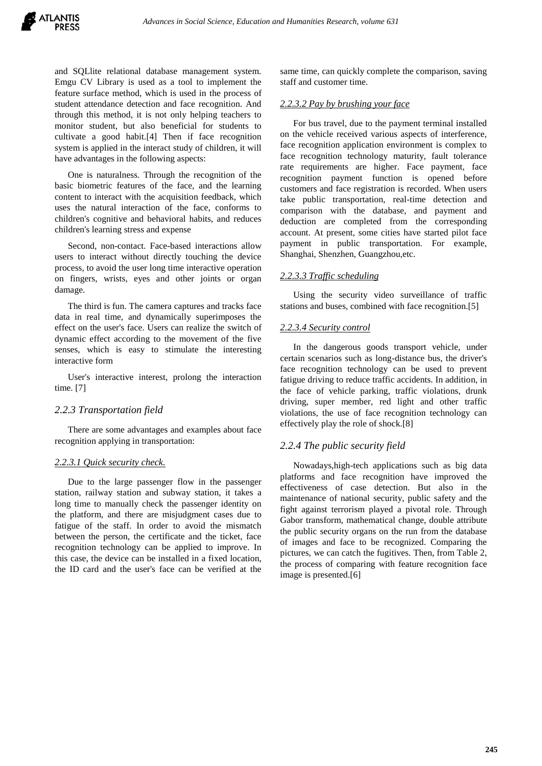and SQLlite relational database management system. Emgu CV Library is used as a tool to implement the feature surface method, which is used in the process of student attendance detection and face recognition. And through this method, it is not only helping teachers to monitor student, but also beneficial for students to cultivate a good habit.[4] Then if face recognition system is applied in the interact study of children, it will have advantages in the following aspects:

One is naturalness. Through the recognition of the basic biometric features of the face, and the learning content to interact with the acquisition feedback, which uses the natural interaction of the face, conforms to children's cognitive and behavioral habits, and reduces children's learning stress and expense

Second, non-contact. Face-based interactions allow users to interact without directly touching the device process, to avoid the user long time interactive operation on fingers, wrists, eyes and other joints or organ damage.

The third is fun. The camera captures and tracks face data in real time, and dynamically superimposes the effect on the user's face. Users can realize the switch of dynamic effect according to the movement of the five senses, which is easy to stimulate the interesting interactive form

User's interactive interest, prolong the interaction time. [7]

## *2.2.3 Transportation field*

There are some advantages and examples about face recognition applying in transportation:

#### *2.2.3.1 Quick security check.*

Due to the large passenger flow in the passenger station, railway station and subway station, it takes a long time to manually check the passenger identity on the platform, and there are misjudgment cases due to fatigue of the staff. In order to avoid the mismatch between the person, the certificate and the ticket, face recognition technology can be applied to improve. In this case, the device can be installed in a fixed location, the ID card and the user's face can be verified at the same time, can quickly complete the comparison, saving staff and customer time.

#### *2.2.3.2 Pay by brushing your face*

For bus travel, due to the payment terminal installed on the vehicle received various aspects of interference, face recognition application environment is complex to face recognition technology maturity, fault tolerance rate requirements are higher. Face payment, face recognition payment function is opened before customers and face registration is recorded. When users take public transportation, real-time detection and comparison with the database, and payment and deduction are completed from the corresponding account. At present, some cities have started pilot face payment in public transportation. For example, Shanghai, Shenzhen, Guangzhou,etc.

## *2.2.3.3 Traffic scheduling*

Using the security video surveillance of traffic stations and buses, combined with face recognition.[5]

#### *2.2.3.4 Security control*

In the dangerous goods transport vehicle, under certain scenarios such as long-distance bus, the driver's face recognition technology can be used to prevent fatigue driving to reduce traffic accidents. In addition, in the face of vehicle parking, traffic violations, drunk driving, super member, red light and other traffic violations, the use of face recognition technology can effectively play the role of shock.[8]

## *2.2.4 The public security field*

Nowadays,high-tech applications such as big data platforms and face recognition have improved the effectiveness of case detection. But also in the maintenance of national security, public safety and the fight against terrorism played a pivotal role. Through Gabor transform, mathematical change, double attribute the public security organs on the run from the database of images and face to be recognized. Comparing the pictures, we can catch the fugitives. Then, from Table 2, the process of comparing with feature recognition face image is presented.[6]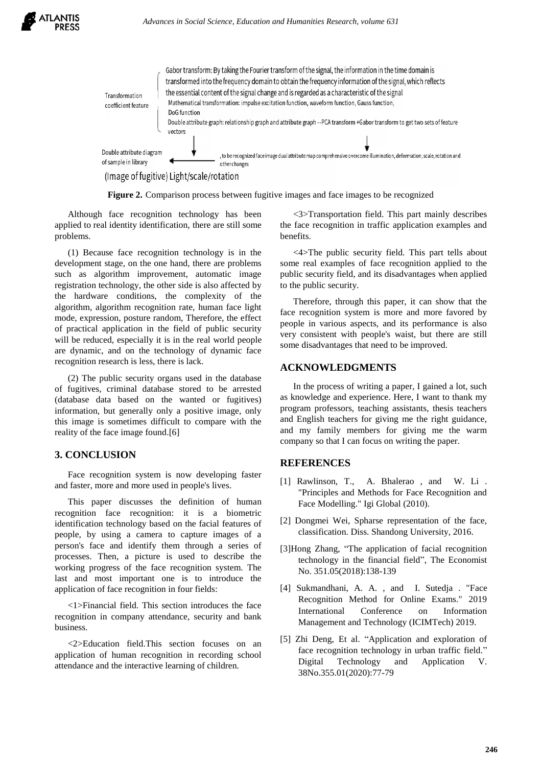

(Image of fugitive) Light/scale/rotation

**Figure 2.** Comparison process between fugitive images and face images to be recognized

Although face recognition technology has been applied to real identity identification, there are still some problems.

(1) Because face recognition technology is in the development stage, on the one hand, there are problems such as algorithm improvement, automatic image registration technology, the other side is also affected by the hardware conditions, the complexity of the algorithm, algorithm recognition rate, human face light mode, expression, posture random, Therefore, the effect of practical application in the field of public security will be reduced, especially it is in the real world people are dynamic, and on the technology of dynamic face recognition research is less, there is lack.

(2) The public security organs used in the database of fugitives, criminal database stored to be arrested (database data based on the wanted or fugitives) information, but generally only a positive image, only this image is sometimes difficult to compare with the reality of the face image found.[6]

# **3. CONCLUSION**

Face recognition system is now developing faster and faster, more and more used in people's lives.

This paper discusses the definition of human recognition face recognition: it is a biometric identification technology based on the facial features of people, by using a camera to capture images of a person's face and identify them through a series of processes. Then, a picture is used to describe the working progress of the face recognition system. The last and most important one is to introduce the application of face recognition in four fields:

<1>Financial field. This section introduces the face recognition in company attendance, security and bank business.

<2>Education field.This section focuses on an application of human recognition in recording school attendance and the interactive learning of children.

<3>Transportation field. This part mainly describes the face recognition in traffic application examples and benefits.

<4>The public security field. This part tells about some real examples of face recognition applied to the public security field, and its disadvantages when applied to the public security.

Therefore, through this paper, it can show that the face recognition system is more and more favored by people in various aspects, and its performance is also very consistent with people's waist, but there are still some disadvantages that need to be improved.

#### **ACKNOWLEDGMENTS**

In the process of writing a paper, I gained a lot, such as knowledge and experience. Here, I want to thank my program professors, teaching assistants, thesis teachers and English teachers for giving me the right guidance, and my family members for giving me the warm company so that I can focus on writing the paper.

## **REFERENCES**

- [1] Rawlinson, T., A. Bhalerao, and W. Li. "Principles and Methods for Face Recognition and Face Modelling." Igi Global (2010).
- [2] Dongmei Wei, Spharse representation of the face, classification. Diss. Shandong University, 2016.
- [3]Hong Zhang, "The application of facial recognition technology in the financial field", The Economist No. 351.05(2018):138-139
- [4] Sukmandhani, A. A. , and I. Sutedja . "Face Recognition Method for Online Exams." 2019 International Conference on Information Management and Technology (ICIMTech) 2019.
- [5] Zhi Deng, Et al. "Application and exploration of face recognition technology in urban traffic field." Digital Technology and Application V. 38No.355.01(2020):77-79